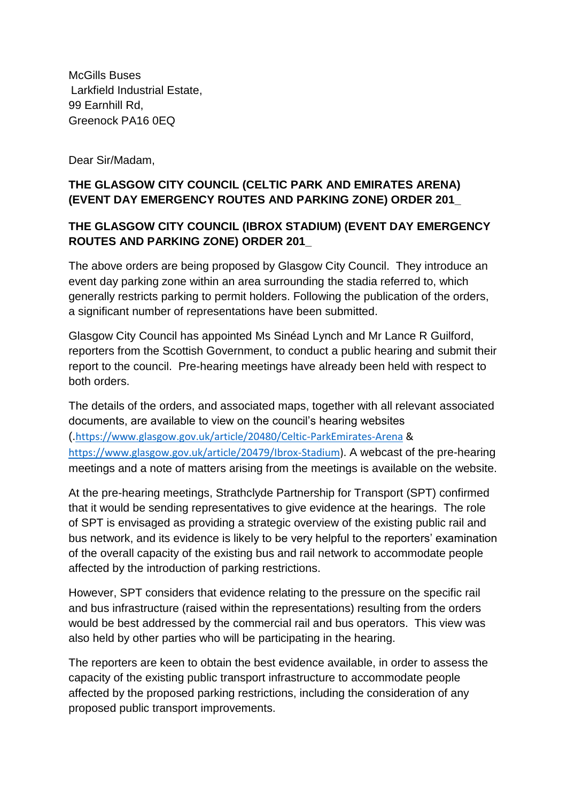McGills Buses Larkfield Industrial Estate, 99 Earnhill Rd, Greenock PA16 0EQ

Dear Sir/Madam,

## **THE GLASGOW CITY COUNCIL (CELTIC PARK AND EMIRATES ARENA) (EVENT DAY EMERGENCY ROUTES AND PARKING ZONE) ORDER 201\_**

## **THE GLASGOW CITY COUNCIL (IBROX STADIUM) (EVENT DAY EMERGENCY ROUTES AND PARKING ZONE) ORDER 201\_**

The above orders are being proposed by Glasgow City Council. They introduce an event day parking zone within an area surrounding the stadia referred to, which generally restricts parking to permit holders. Following the publication of the orders, a significant number of representations have been submitted.

Glasgow City Council has appointed Ms Sinéad Lynch and Mr Lance R Guilford, reporters from the Scottish Government, to conduct a public hearing and submit their report to the council. Pre-hearing meetings have already been held with respect to both orders.

The details of the orders, and associated maps, together with all relevant associated documents, are available to view on the council's hearing websites (.<https://www.glasgow.gov.uk/article/20480/Celtic-ParkEmirates-Arena> & [https://www.glasgow.gov.uk/article/20479/Ibrox-Stadium\)](https://www.glasgow.gov.uk/article/20479/Ibrox-Stadium). A webcast of the pre-hearing meetings and a note of matters arising from the meetings is available on the website.

At the pre-hearing meetings, Strathclyde Partnership for Transport (SPT) confirmed that it would be sending representatives to give evidence at the hearings. The role of SPT is envisaged as providing a strategic overview of the existing public rail and bus network, and its evidence is likely to be very helpful to the reporters' examination of the overall capacity of the existing bus and rail network to accommodate people affected by the introduction of parking restrictions.

However, SPT considers that evidence relating to the pressure on the specific rail and bus infrastructure (raised within the representations) resulting from the orders would be best addressed by the commercial rail and bus operators. This view was also held by other parties who will be participating in the hearing.

The reporters are keen to obtain the best evidence available, in order to assess the capacity of the existing public transport infrastructure to accommodate people affected by the proposed parking restrictions, including the consideration of any proposed public transport improvements.